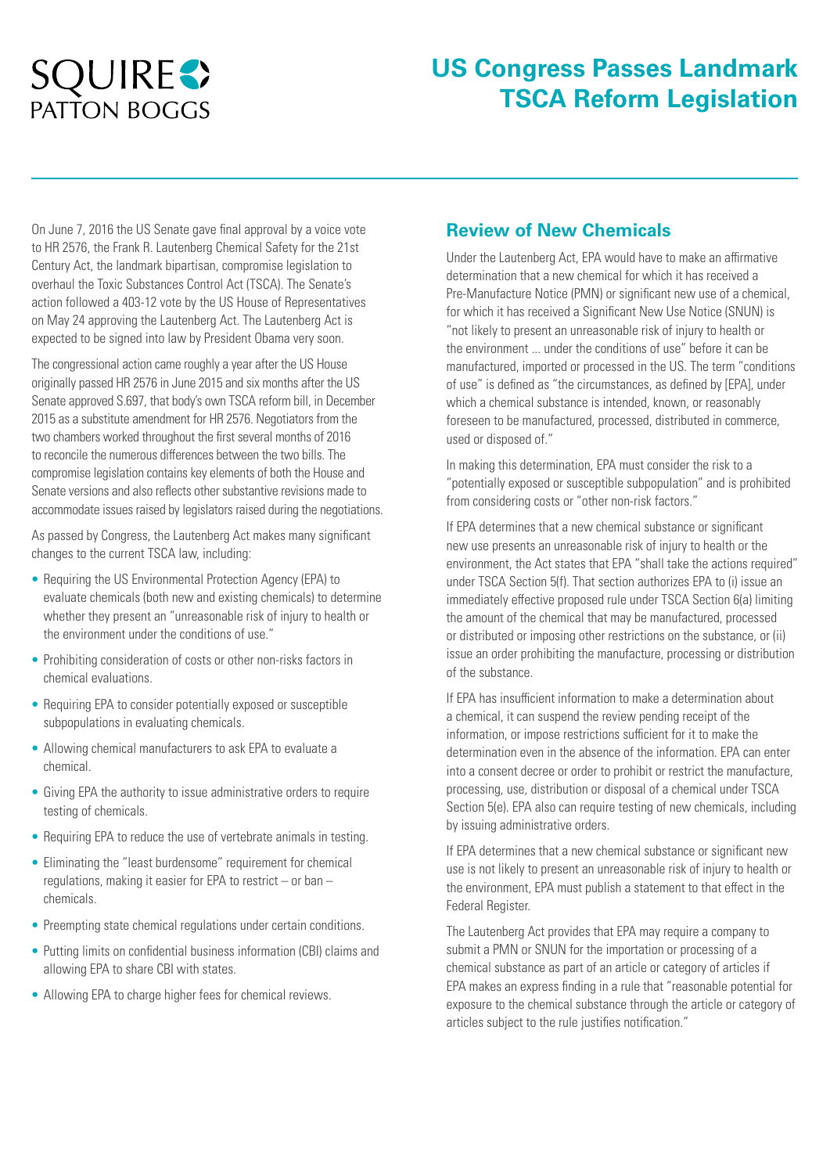# **SQUIRES PATTON BOGGS**

## **US Congress Passes Landmark TSCA Reform Legislation**

On June 7, 2016 the US Senate gave final approval by a voice vote to HR 2576, the Frank R. Lautenberg Chemical Safety for the 21st Century Act, the landmark bipartisan, compromise legislation to overhaul the Toxic Substances Control Act (TSCA). The Senate's action followed a 403-12 vote by the US House of Representatives on May 24 approving the Lautenberg Act. The Lautenberg Act is expected to be signed into law by President Obama very soon.

The congressional action came roughly a year after the US House originally passed HR 2576 in June 2015 and six months after the US Senate approved S.697, that body's own TSCA reform bill, in December 2015 as a substitute amendment for HR 2576. Negotiators from the two chambers worked throughout the first several months of 2016 to reconcile the numerous differences between the two bills. The compromise legislation contains key elements of both the House and Senate versions and also reflects other substantive revisions made to accommodate issues raised by legislators raised during the negotiations.

As passed by Congress, the Lautenberg Act makes many significant changes to the current TSCA law, including:

- Requiring the US Environmental Protection Agency (EPA) to evaluate chemicals (both new and existing chemicals) to determine whether they present an "unreasonable risk of injury to health or the environment under the conditions of use."
- Prohibiting consideration of costs or other non-risks factors in chemical evaluations.
- Requiring EPA to consider potentially exposed or susceptible subpopulations in evaluating chemicals.
- Allowing chemical manufacturers to ask EPA to evaluate a chemical.
- Giving EPA the authority to issue administrative orders to require testing of chemicals.
- Requiring EPA to reduce the use of vertebrate animals in testing.
- Eliminating the "least burdensome" requirement for chemical regulations, making it easier for EPA to restrict – or ban – chemicals.
- Preempting state chemical regulations under certain conditions.
- Putting limits on confidential business information (CBI) claims and allowing EPA to share CBI with states.
- Allowing EPA to charge higher fees for chemical reviews.

#### **Review of New Chemicals**

Under the Lautenberg Act, EPA would have to make an affirmative determination that a new chemical for which it has received a Pre-Manufacture Notice (PMN) or significant new use of a chemical, for which it has received a Significant New Use Notice (SNUN) is "not likely to present an unreasonable risk of injury to health or the environment ... under the conditions of use" before it can be manufactured, imported or processed in the US. The term "conditions of use" is defined as "the circumstances, as defined by [EPA], under which a chemical substance is intended, known, or reasonably foreseen to be manufactured, processed, distributed in commerce, used or disposed of."

In making this determination, EPA must consider the risk to a "potentially exposed or susceptible subpopulation" and is prohibited from considering costs or "other non-risk factors."

If EPA determines that a new chemical substance or significant new use presents an unreasonable risk of injury to health or the environment, the Act states that EPA "shall take the actions required" under TSCA Section 5(f). That section authorizes EPA to (i) issue an immediately effective proposed rule under TSCA Section 6(a) limiting the amount of the chemical that may be manufactured, processed or distributed or imposing other restrictions on the substance, or (ii) issue an order prohibiting the manufacture, processing or distribution of the substance.

If EPA has insufficient information to make a determination about a chemical, it can suspend the review pending receipt of the information, or impose restrictions sufficient for it to make the determination even in the absence of the information. EPA can enter into a consent decree or order to prohibit or restrict the manufacture, processing, use, distribution or disposal of a chemical under TSCA Section 5(e). EPA also can require testing of new chemicals, including by issuing administrative orders.

If EPA determines that a new chemical substance or significant new use is not likely to present an unreasonable risk of injury to health or the environment, EPA must publish a statement to that effect in the Federal Register.

The Lautenberg Act provides that EPA may require a company to submit a PMN or SNUN for the importation or processing of a chemical substance as part of an article or category of articles if EPA makes an express finding in a rule that "reasonable potential for exposure to the chemical substance through the article or category of articles subject to the rule justifies notification."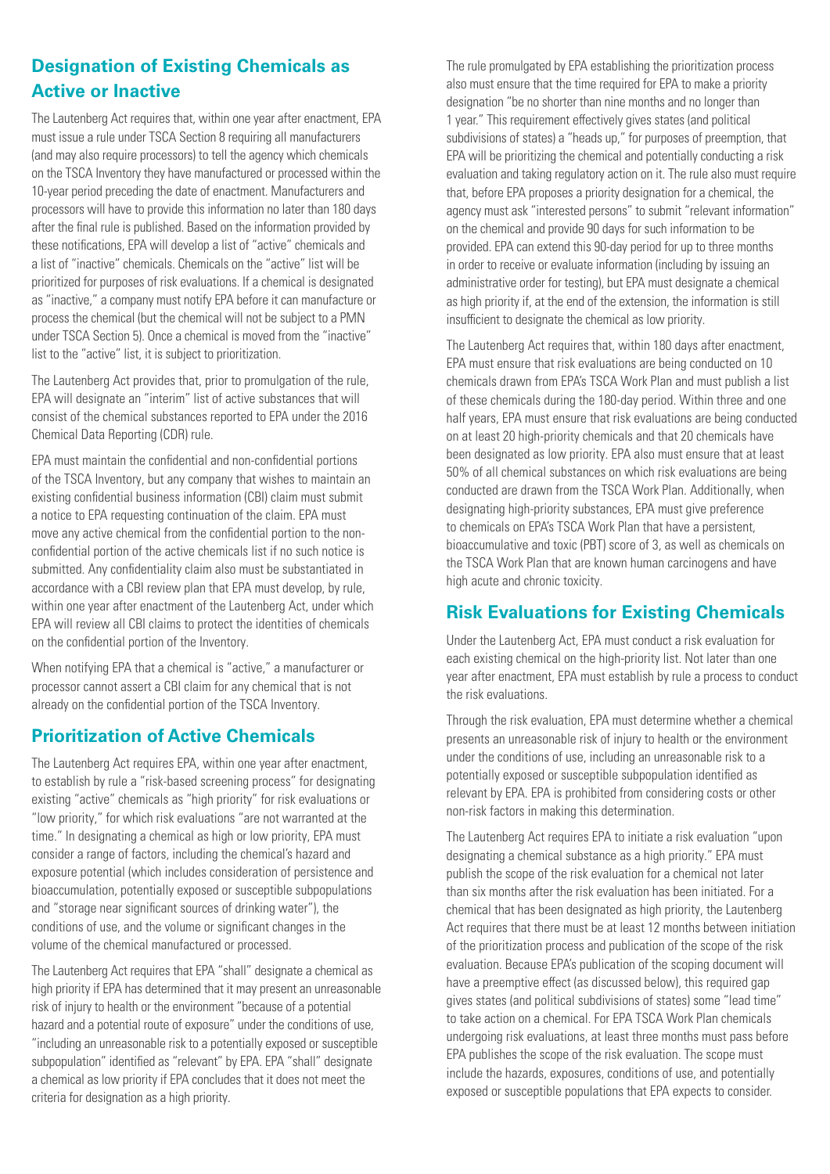## **Designation of Existing Chemicals as Active or Inactive**

The Lautenberg Act requires that, within one year after enactment, EPA must issue a rule under TSCA Section 8 requiring all manufacturers (and may also require processors) to tell the agency which chemicals on the TSCA Inventory they have manufactured or processed within the 10-year period preceding the date of enactment. Manufacturers and processors will have to provide this information no later than 180 days after the final rule is published. Based on the information provided by these notifications, EPA will develop a list of "active" chemicals and a list of "inactive" chemicals. Chemicals on the "active" list will be prioritized for purposes of risk evaluations. If a chemical is designated as "inactive," a company must notify EPA before it can manufacture or process the chemical (but the chemical will not be subject to a PMN under TSCA Section 5). Once a chemical is moved from the "inactive" list to the "active" list, it is subject to prioritization.

The Lautenberg Act provides that, prior to promulgation of the rule, EPA will designate an "interim" list of active substances that will consist of the chemical substances reported to EPA under the 2016 Chemical Data Reporting (CDR) rule.

EPA must maintain the confidential and non-confidential portions of the TSCA Inventory, but any company that wishes to maintain an existing confidential business information (CBI) claim must submit a notice to EPA requesting continuation of the claim. EPA must move any active chemical from the confidential portion to the nonconfidential portion of the active chemicals list if no such notice is submitted. Any confidentiality claim also must be substantiated in accordance with a CBI review plan that EPA must develop, by rule, within one year after enactment of the Lautenberg Act, under which EPA will review all CBI claims to protect the identities of chemicals on the confidential portion of the Inventory.

When notifying EPA that a chemical is "active," a manufacturer or processor cannot assert a CBI claim for any chemical that is not already on the confidential portion of the TSCA Inventory.

#### **Prioritization of Active Chemicals**

The Lautenberg Act requires EPA, within one year after enactment, to establish by rule a "risk-based screening process" for designating existing "active" chemicals as "high priority" for risk evaluations or "low priority," for which risk evaluations "are not warranted at the time." In designating a chemical as high or low priority, EPA must consider a range of factors, including the chemical's hazard and exposure potential (which includes consideration of persistence and bioaccumulation, potentially exposed or susceptible subpopulations and "storage near significant sources of drinking water"), the conditions of use, and the volume or significant changes in the volume of the chemical manufactured or processed.

The Lautenberg Act requires that EPA "shall" designate a chemical as high priority if EPA has determined that it may present an unreasonable risk of injury to health or the environment "because of a potential hazard and a potential route of exposure" under the conditions of use, "including an unreasonable risk to a potentially exposed or susceptible subpopulation" identified as "relevant" by EPA. EPA "shall" designate a chemical as low priority if EPA concludes that it does not meet the criteria for designation as a high priority.

The rule promulgated by EPA establishing the prioritization process also must ensure that the time required for EPA to make a priority designation "be no shorter than nine months and no longer than 1 year." This requirement effectively gives states (and political subdivisions of states) a "heads up," for purposes of preemption, that EPA will be prioritizing the chemical and potentially conducting a risk evaluation and taking regulatory action on it. The rule also must require that, before EPA proposes a priority designation for a chemical, the agency must ask "interested persons" to submit "relevant information" on the chemical and provide 90 days for such information to be provided. EPA can extend this 90-day period for up to three months in order to receive or evaluate information (including by issuing an administrative order for testing), but EPA must designate a chemical as high priority if, at the end of the extension, the information is still insufficient to designate the chemical as low priority.

The Lautenberg Act requires that, within 180 days after enactment, EPA must ensure that risk evaluations are being conducted on 10 chemicals drawn from EPA's TSCA Work Plan and must publish a list of these chemicals during the 180-day period. Within three and one half years, EPA must ensure that risk evaluations are being conducted on at least 20 high-priority chemicals and that 20 chemicals have been designated as low priority. EPA also must ensure that at least 50% of all chemical substances on which risk evaluations are being conducted are drawn from the TSCA Work Plan. Additionally, when designating high-priority substances, EPA must give preference to chemicals on EPA's TSCA Work Plan that have a persistent, bioaccumulative and toxic (PBT) score of 3, as well as chemicals on the TSCA Work Plan that are known human carcinogens and have high acute and chronic toxicity.

#### **Risk Evaluations for Existing Chemicals**

Under the Lautenberg Act, EPA must conduct a risk evaluation for each existing chemical on the high-priority list. Not later than one year after enactment, EPA must establish by rule a process to conduct the risk evaluations.

Through the risk evaluation, EPA must determine whether a chemical presents an unreasonable risk of injury to health or the environment under the conditions of use, including an unreasonable risk to a potentially exposed or susceptible subpopulation identified as relevant by EPA. EPA is prohibited from considering costs or other non-risk factors in making this determination.

The Lautenberg Act requires EPA to initiate a risk evaluation "upon designating a chemical substance as a high priority." EPA must publish the scope of the risk evaluation for a chemical not later than six months after the risk evaluation has been initiated. For a chemical that has been designated as high priority, the Lautenberg Act requires that there must be at least 12 months between initiation of the prioritization process and publication of the scope of the risk evaluation. Because EPA's publication of the scoping document will have a preemptive effect (as discussed below), this required gap gives states (and political subdivisions of states) some "lead time" to take action on a chemical. For EPA TSCA Work Plan chemicals undergoing risk evaluations, at least three months must pass before EPA publishes the scope of the risk evaluation. The scope must include the hazards, exposures, conditions of use, and potentially exposed or susceptible populations that EPA expects to consider.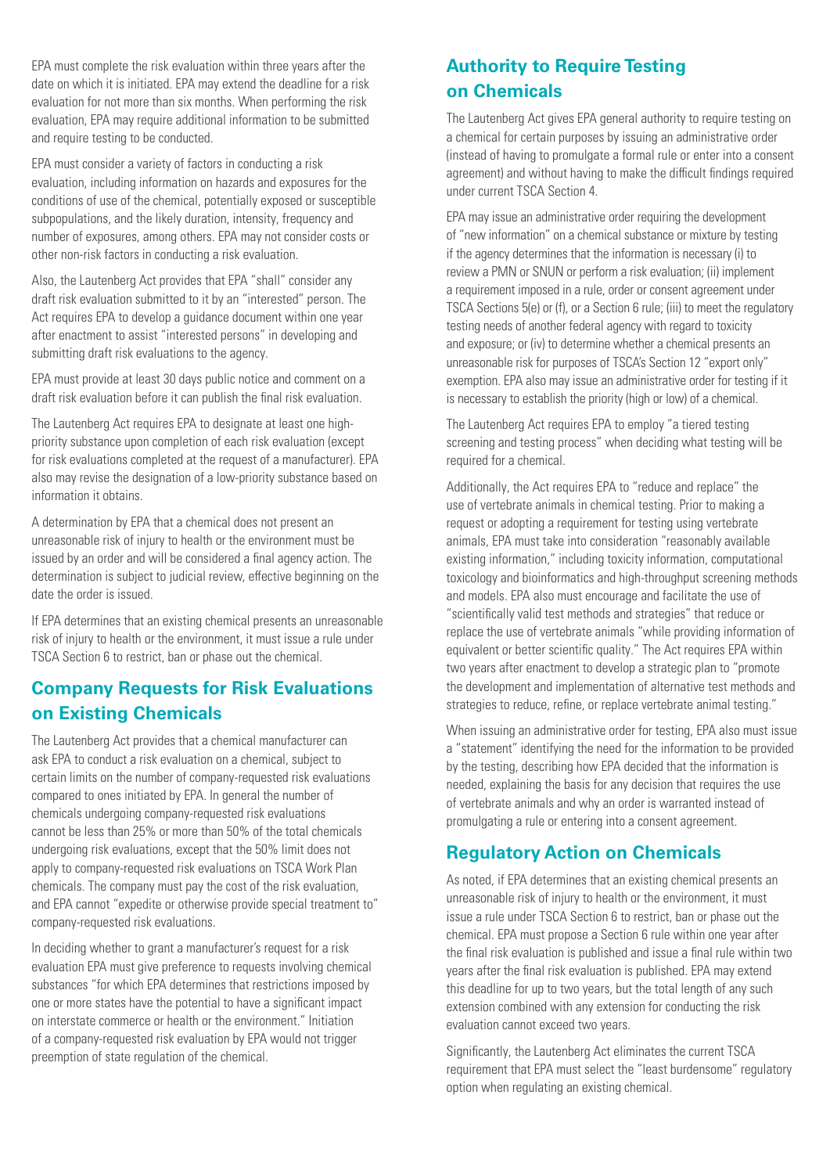EPA must complete the risk evaluation within three years after the date on which it is initiated. EPA may extend the deadline for a risk evaluation for not more than six months. When performing the risk evaluation. EPA may require additional information to be submitted and require testing to be conducted.

EPA must consider a variety of factors in conducting a risk evaluation, including information on hazards and exposures for the conditions of use of the chemical, potentially exposed or susceptible subpopulations, and the likely duration, intensity, frequency and number of exposures, among others. EPA may not consider costs or other non-risk factors in conducting a risk evaluation.

Also, the Lautenberg Act provides that EPA "shall" consider any draft risk evaluation submitted to it by an "interested" person. The Act requires EPA to develop a guidance document within one year after enactment to assist "interested persons" in developing and submitting draft risk evaluations to the agency.

EPA must provide at least 30 days public notice and comment on a draft risk evaluation before it can publish the final risk evaluation.

The Lautenberg Act requires EPA to designate at least one highpriority substance upon completion of each risk evaluation (except for risk evaluations completed at the request of a manufacturer). EPA also may revise the designation of a low-priority substance based on information it obtains.

A determination by EPA that a chemical does not present an unreasonable risk of injury to health or the environment must be issued by an order and will be considered a final agency action. The determination is subject to judicial review, effective beginning on the date the order is issued.

If EPA determines that an existing chemical presents an unreasonable risk of injury to health or the environment, it must issue a rule under TSCA Section 6 to restrict, ban or phase out the chemical.

#### **Company Requests for Risk Evaluations on Existing Chemicals**

The Lautenberg Act provides that a chemical manufacturer can ask EPA to conduct a risk evaluation on a chemical, subject to certain limits on the number of company-requested risk evaluations compared to ones initiated by EPA. In general the number of chemicals undergoing company-requested risk evaluations cannot be less than 25% or more than 50% of the total chemicals undergoing risk evaluations, except that the 50% limit does not apply to company-requested risk evaluations on TSCA Work Plan chemicals. The company must pay the cost of the risk evaluation, and EPA cannot "expedite or otherwise provide special treatment to" company-requested risk evaluations.

In deciding whether to grant a manufacturer's request for a risk evaluation EPA must give preference to requests involving chemical substances "for which EPA determines that restrictions imposed by one or more states have the potential to have a significant impact on interstate commerce or health or the environment." Initiation of a company-requested risk evaluation by EPA would not trigger preemption of state regulation of the chemical.

## **Authority to Require Testing on Chemicals**

The Lautenberg Act gives EPA general authority to require testing on a chemical for certain purposes by issuing an administrative order (instead of having to promulgate a formal rule or enter into a consent agreement) and without having to make the difficult findings required under current TSCA Section 4.

EPA may issue an administrative order requiring the development of "new information" on a chemical substance or mixture by testing if the agency determines that the information is necessary (i) to review a PMN or SNUN or perform a risk evaluation; (ii) implement a requirement imposed in a rule, order or consent agreement under TSCA Sections 5(e) or (f), or a Section 6 rule; (iii) to meet the regulatory testing needs of another federal agency with regard to toxicity and exposure; or (iv) to determine whether a chemical presents an unreasonable risk for purposes of TSCA's Section 12 "export only" exemption. EPA also may issue an administrative order for testing if it is necessary to establish the priority (high or low) of a chemical.

The Lautenberg Act requires EPA to employ "a tiered testing screening and testing process" when deciding what testing will be required for a chemical.

Additionally, the Act requires EPA to "reduce and replace" the use of vertebrate animals in chemical testing. Prior to making a request or adopting a requirement for testing using vertebrate animals, EPA must take into consideration "reasonably available existing information," including toxicity information, computational toxicology and bioinformatics and high-throughput screening methods and models. EPA also must encourage and facilitate the use of "scientifically valid test methods and strategies" that reduce or replace the use of vertebrate animals "while providing information of equivalent or better scientific quality." The Act requires EPA within two years after enactment to develop a strategic plan to "promote the development and implementation of alternative test methods and strategies to reduce, refine, or replace vertebrate animal testing."

When issuing an administrative order for testing, EPA also must issue a "statement" identifying the need for the information to be provided by the testing, describing how EPA decided that the information is needed, explaining the basis for any decision that requires the use of vertebrate animals and why an order is warranted instead of promulgating a rule or entering into a consent agreement.

#### **Regulatory Action on Chemicals**

As noted, if EPA determines that an existing chemical presents an unreasonable risk of injury to health or the environment, it must issue a rule under TSCA Section 6 to restrict, ban or phase out the chemical. EPA must propose a Section 6 rule within one year after the final risk evaluation is published and issue a final rule within two years after the final risk evaluation is published. EPA may extend this deadline for up to two years, but the total length of any such extension combined with any extension for conducting the risk evaluation cannot exceed two years.

Significantly, the Lautenberg Act eliminates the current TSCA requirement that EPA must select the "least burdensome" regulatory option when regulating an existing chemical.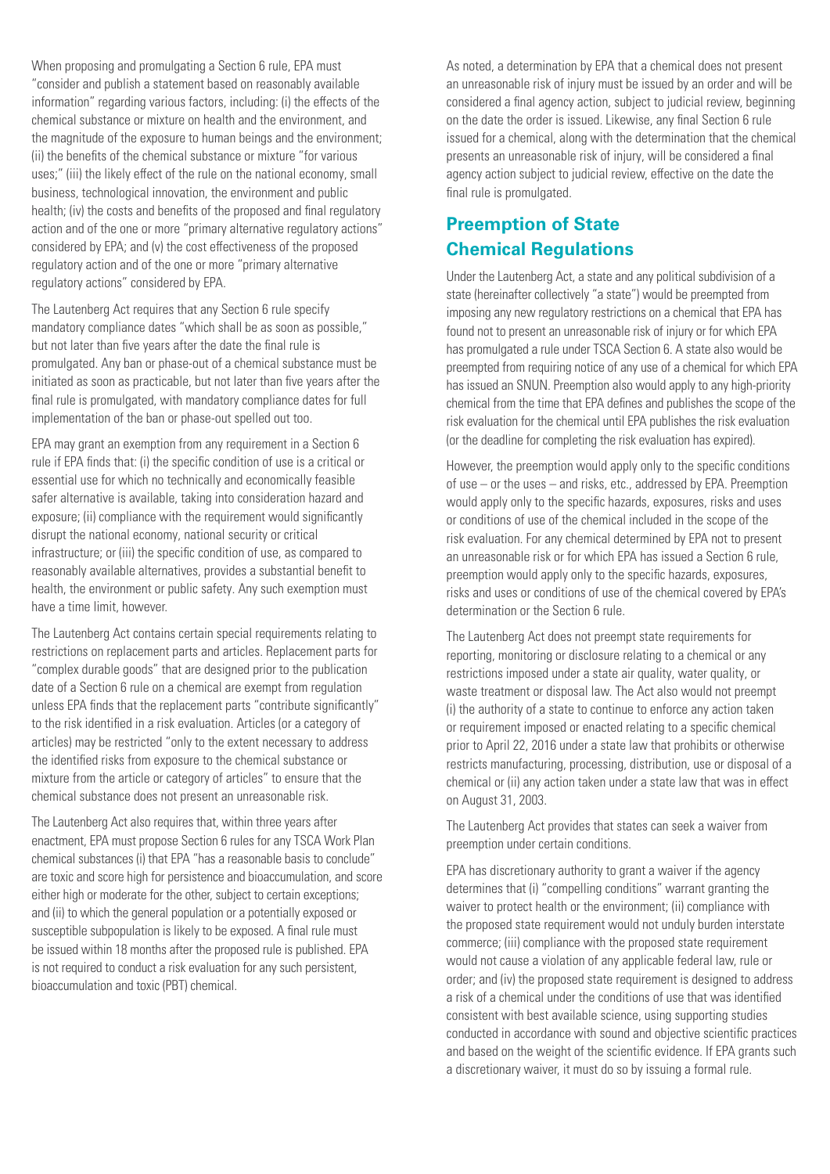When proposing and promulgating a Section 6 rule, EPA must "consider and publish a statement based on reasonably available information" regarding various factors, including: (i) the effects of the chemical substance or mixture on health and the environment, and the magnitude of the exposure to human beings and the environment; (ii) the benefits of the chemical substance or mixture "for various uses;" (iii) the likely effect of the rule on the national economy, small business, technological innovation, the environment and public health; (iv) the costs and benefits of the proposed and final regulatory action and of the one or more "primary alternative regulatory actions" considered by EPA; and (v) the cost effectiveness of the proposed regulatory action and of the one or more "primary alternative regulatory actions" considered by EPA.

The Lautenberg Act requires that any Section 6 rule specify mandatory compliance dates "which shall be as soon as possible," but not later than five years after the date the final rule is promulgated. Any ban or phase-out of a chemical substance must be initiated as soon as practicable, but not later than five years after the final rule is promulgated, with mandatory compliance dates for full implementation of the ban or phase-out spelled out too.

EPA may grant an exemption from any requirement in a Section 6 rule if EPA finds that: (i) the specific condition of use is a critical or essential use for which no technically and economically feasible safer alternative is available, taking into consideration hazard and exposure; (ii) compliance with the requirement would significantly disrupt the national economy, national security or critical infrastructure; or (iii) the specific condition of use, as compared to reasonably available alternatives, provides a substantial benefit to health, the environment or public safety. Any such exemption must have a time limit, however.

The Lautenberg Act contains certain special requirements relating to restrictions on replacement parts and articles. Replacement parts for "complex durable goods" that are designed prior to the publication date of a Section 6 rule on a chemical are exempt from regulation unless EPA finds that the replacement parts "contribute significantly" to the risk identified in a risk evaluation. Articles (or a category of articles) may be restricted "only to the extent necessary to address the identified risks from exposure to the chemical substance or mixture from the article or category of articles" to ensure that the chemical substance does not present an unreasonable risk.

The Lautenberg Act also requires that, within three years after enactment, EPA must propose Section 6 rules for any TSCA Work Plan chemical substances (i) that EPA "has a reasonable basis to conclude" are toxic and score high for persistence and bioaccumulation, and score either high or moderate for the other, subject to certain exceptions; and (ii) to which the general population or a potentially exposed or susceptible subpopulation is likely to be exposed. A final rule must be issued within 18 months after the proposed rule is published. EPA is not required to conduct a risk evaluation for any such persistent, bioaccumulation and toxic (PBT) chemical.

As noted, a determination by EPA that a chemical does not present an unreasonable risk of injury must be issued by an order and will be considered a final agency action, subject to judicial review, beginning on the date the order is issued. Likewise, any final Section 6 rule issued for a chemical, along with the determination that the chemical presents an unreasonable risk of injury, will be considered a final agency action subject to judicial review, effective on the date the final rule is promulgated.

## **Preemption of State Chemical Regulations**

Under the Lautenberg Act, a state and any political subdivision of a state (hereinafter collectively "a state") would be preempted from imposing any new regulatory restrictions on a chemical that EPA has found not to present an unreasonable risk of injury or for which EPA has promulgated a rule under TSCA Section 6. A state also would be preempted from requiring notice of any use of a chemical for which EPA has issued an SNUN. Preemption also would apply to any high-priority chemical from the time that EPA defines and publishes the scope of the risk evaluation for the chemical until EPA publishes the risk evaluation (or the deadline for completing the risk evaluation has expired).

However, the preemption would apply only to the specific conditions of use – or the uses – and risks, etc., addressed by EPA. Preemption would apply only to the specific hazards, exposures, risks and uses or conditions of use of the chemical included in the scope of the risk evaluation. For any chemical determined by EPA not to present an unreasonable risk or for which EPA has issued a Section 6 rule, preemption would apply only to the specific hazards, exposures, risks and uses or conditions of use of the chemical covered by EPA's determination or the Section 6 rule.

The Lautenberg Act does not preempt state requirements for reporting, monitoring or disclosure relating to a chemical or any restrictions imposed under a state air quality, water quality, or waste treatment or disposal law. The Act also would not preempt (i) the authority of a state to continue to enforce any action taken or requirement imposed or enacted relating to a specific chemical prior to April 22, 2016 under a state law that prohibits or otherwise restricts manufacturing, processing, distribution, use or disposal of a chemical or (ii) any action taken under a state law that was in effect on August 31, 2003.

The Lautenberg Act provides that states can seek a waiver from preemption under certain conditions.

EPA has discretionary authority to grant a waiver if the agency determines that (i) "compelling conditions" warrant granting the waiver to protect health or the environment; (ii) compliance with the proposed state requirement would not unduly burden interstate commerce; (iii) compliance with the proposed state requirement would not cause a violation of any applicable federal law, rule or order; and (iv) the proposed state requirement is designed to address a risk of a chemical under the conditions of use that was identified consistent with best available science, using supporting studies conducted in accordance with sound and objective scientific practices and based on the weight of the scientific evidence. If EPA grants such a discretionary waiver, it must do so by issuing a formal rule.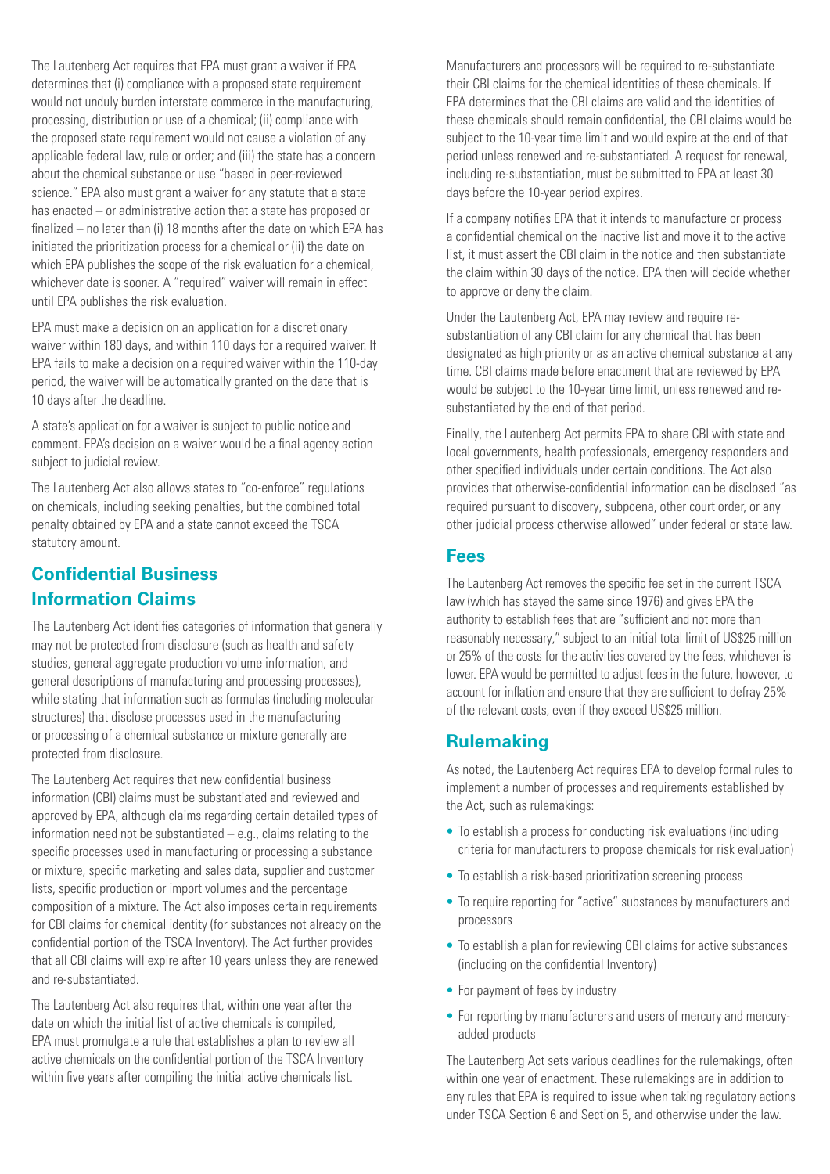The Lautenberg Act requires that EPA must grant a waiver if EPA determines that (i) compliance with a proposed state requirement would not unduly burden interstate commerce in the manufacturing, processing, distribution or use of a chemical; (ii) compliance with the proposed state requirement would not cause a violation of any applicable federal law, rule or order; and (iii) the state has a concern about the chemical substance or use "based in peer-reviewed science." EPA also must grant a waiver for any statute that a state has enacted – or administrative action that a state has proposed or finalized – no later than (i) 18 months after the date on which EPA has initiated the prioritization process for a chemical or (ii) the date on which EPA publishes the scope of the risk evaluation for a chemical, whichever date is sooner. A "required" waiver will remain in effect until EPA publishes the risk evaluation.

EPA must make a decision on an application for a discretionary waiver within 180 days, and within 110 days for a required waiver. If EPA fails to make a decision on a required waiver within the 110-day period, the waiver will be automatically granted on the date that is 10 days after the deadline.

A state's application for a waiver is subject to public notice and comment. EPA's decision on a waiver would be a final agency action subject to judicial review.

The Lautenberg Act also allows states to "co-enforce" regulations on chemicals, including seeking penalties, but the combined total penalty obtained by EPA and a state cannot exceed the TSCA statutory amount.

#### **Confidential Business Information Claims**

The Lautenberg Act identifies categories of information that generally may not be protected from disclosure (such as health and safety studies, general aggregate production volume information, and general descriptions of manufacturing and processing processes), while stating that information such as formulas (including molecular structures) that disclose processes used in the manufacturing or processing of a chemical substance or mixture generally are protected from disclosure.

The Lautenberg Act requires that new confidential business information (CBI) claims must be substantiated and reviewed and approved by EPA, although claims regarding certain detailed types of information need not be substantiated  $-$  e.g., claims relating to the specific processes used in manufacturing or processing a substance or mixture, specific marketing and sales data, supplier and customer lists, specific production or import volumes and the percentage composition of a mixture. The Act also imposes certain requirements for CBI claims for chemical identity (for substances not already on the confidential portion of the TSCA Inventory). The Act further provides that all CBI claims will expire after 10 years unless they are renewed and re-substantiated.

The Lautenberg Act also requires that, within one year after the date on which the initial list of active chemicals is compiled, EPA must promulgate a rule that establishes a plan to review all active chemicals on the confidential portion of the TSCA Inventory within five years after compiling the initial active chemicals list.

Manufacturers and processors will be required to re-substantiate their CBI claims for the chemical identities of these chemicals. If EPA determines that the CBI claims are valid and the identities of these chemicals should remain confidential, the CBI claims would be subject to the 10-year time limit and would expire at the end of that period unless renewed and re-substantiated. A request for renewal, including re-substantiation, must be submitted to EPA at least 30 days before the 10-year period expires.

If a company notifies EPA that it intends to manufacture or process a confidential chemical on the inactive list and move it to the active list, it must assert the CBI claim in the notice and then substantiate the claim within 30 days of the notice. EPA then will decide whether to approve or deny the claim.

Under the Lautenberg Act, EPA may review and require resubstantiation of any CBI claim for any chemical that has been designated as high priority or as an active chemical substance at any time. CBI claims made before enactment that are reviewed by EPA would be subject to the 10-year time limit, unless renewed and resubstantiated by the end of that period.

Finally, the Lautenberg Act permits EPA to share CBI with state and local governments, health professionals, emergency responders and other specified individuals under certain conditions. The Act also provides that otherwise-confidential information can be disclosed "as required pursuant to discovery, subpoena, other court order, or any other judicial process otherwise allowed" under federal or state law.

#### **Fees**

The Lautenberg Act removes the specific fee set in the current TSCA law (which has stayed the same since 1976) and gives EPA the authority to establish fees that are "sufficient and not more than reasonably necessary," subject to an initial total limit of US\$25 million or 25% of the costs for the activities covered by the fees, whichever is lower. EPA would be permitted to adjust fees in the future, however, to account for inflation and ensure that they are sufficient to defray 25% of the relevant costs, even if they exceed US\$25 million.

#### **Rulemaking**

As noted, the Lautenberg Act requires EPA to develop formal rules to implement a number of processes and requirements established by the Act, such as rulemakings:

- To establish a process for conducting risk evaluations (including criteria for manufacturers to propose chemicals for risk evaluation)
- To establish a risk-based prioritization screening process
- To require reporting for "active" substances by manufacturers and processors
- To establish a plan for reviewing CBI claims for active substances (including on the confidential Inventory)
- For payment of fees by industry
- For reporting by manufacturers and users of mercury and mercuryadded products

The Lautenberg Act sets various deadlines for the rulemakings, often within one year of enactment. These rulemakings are in addition to any rules that EPA is required to issue when taking regulatory actions under TSCA Section 6 and Section 5, and otherwise under the law.